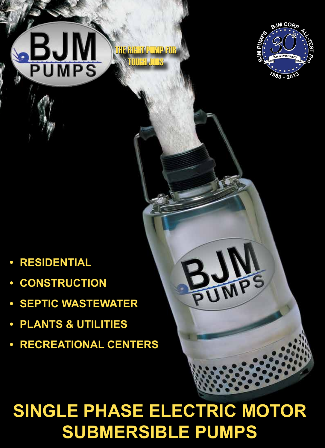# **SINGLE PHASE ELECTRIC MOTOR SUBMERSIBLE PUMPS**

THE RIGHT PUMP FOR

TOUGH JOBS

- **• RECREATIONAL CENTERS**
- **• SEPTIC WASTEWATER**

**• PLANTS & UTILITIES**

- **• CONSTRUCTION**
- 

 $\mathbf{B}\mathsf{J}$ 

**PUMPS** 

- 
- 
- 





**T** *Pro*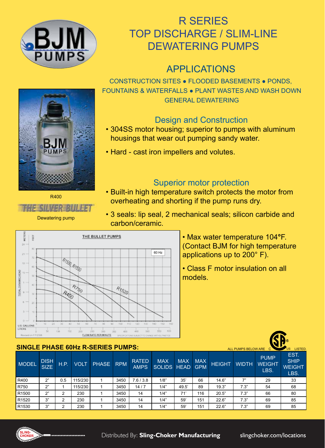

# R SERIES TOP DISCHARGE / SLIM-LINE DEWATERING PUMPS

# APPLICATIONS

CONSTRUCTION SITES ● FLOODED BASEMENTS ● PONDS, FOUNTAINS & WATERFALLS ● PLANT WASTES AND WASH DOWN GENERAL DEWATERING

## Design and Construction

- 304SS motor housing; superior to pumps with aluminum housings that wear out pumping sandy water.
- Hard cast iron impellers and volutes.

# Superior motor protection

- Built-in high temperature switch protects the motor from overheating and shorting if the pump runs dry.
- 3 seals: lip seal, 2 mechanical seals; silicon carbide and carbon/ceramic.



• Max water temperature 104**°**F. (Contact BJM for high temperature applications up to 200° F).

• Class F motor insulation on all models.

|                   | <b>SINGLE PHASE 60Hz R-SERIES PUMPS:</b><br>ALL PUMPS BELOW ARE<br>US. |      |             |           |      |                             |                               |            |            |               |              |                                      |                                              |  |  |
|-------------------|------------------------------------------------------------------------|------|-------------|-----------|------|-----------------------------|-------------------------------|------------|------------|---------------|--------------|--------------------------------------|----------------------------------------------|--|--|
| <b>MODEL</b>      | <b>DISH</b><br>SIZE                                                    | H.P. | <b>VOLT</b> | PHASE RPM |      | <b>RATED</b><br><b>AMPS</b> | <b>MAX</b><br>SOLIDS HEAD GPM | <b>MAX</b> | <b>MAX</b> | <b>HEIGHT</b> | <b>WIDTH</b> | <b>PUMP</b><br><b>WEIGHT</b><br>LBS. | EST.<br><b>SHIP</b><br><b>WEIGHT</b><br>LBS. |  |  |
| R400              | 2"                                                                     | 0.5  | 115/230     |           | 3450 | 7.6/3.8                     | 1/8"                          | 35'        | 66         | 14.6"         | 7"           | 29                                   | 33                                           |  |  |
| R750              | 2"                                                                     |      | 115/230     |           | 3450 | 14/7                        | 1/4"                          | 49.5       | 89         | 19.3"         | 7.3"         | 54                                   | 68                                           |  |  |
| R <sub>1500</sub> | 2"                                                                     | ົ    | 230         |           | 3450 | 14                          | 1/4"                          | 71'        | 116        | 20.5"         | 7.3"         | 66                                   | 80                                           |  |  |
| R <sub>1520</sub> | 3"                                                                     | ົ    | 230         |           | 3450 | 14                          | 1/4"                          | 59         | 151        | 22.6"         | 7.3"         | 69                                   | 85                                           |  |  |
| R <sub>1530</sub> | 3"                                                                     | 2    | 230         |           | 3450 | 14                          | 1/4"                          | 59'        | 151        | 22.6"         | 7.3"         | 69                                   | 85                                           |  |  |



R400

FME SILVER BI

Dewatering pump



GD.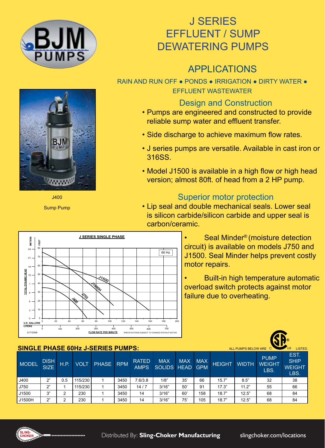

# J SERIES EFFLUENT / SUMP DEWATERING PUMPS

# APPLICATIONS

RAIN AND RUN OFF . PONDS . IRRIGATION . DIRTY WATER . EFFLUENT WASTEWATER

## Design and Construction

- Pumps are engineered and constructed to provide reliable sump water and effluent transfer.
- Side discharge to achieve maximum flow rates.
- J series pumps are versatile. Available in cast iron or 316SS.
- Model J1500 is available in a high flow or high head version; almost 80ft. of head from a 2 HP pump.

# Superior motor protection

• Lip seal and double mechanical seals. Lower seal is silicon carbide/silicon carbide and upper seal is carbon/ceramic.



Seal Minder<sup>®</sup> (moisture detection circuit) is available on models J750 and J1500. Seal Minder helps prevent costly motor repairs.

• Built-in high temperature automatic overload switch protects against motor failure due to overheating.

| <b>SINGLE PHASE 60Hz J-SERIES PUMPS:</b> |                            |      | <b>US</b><br>ALL PUMPS BELOW ARE C<br>LISTED. |           |      |                             |                               |            |            |               |              |                                      |                                              |
|------------------------------------------|----------------------------|------|-----------------------------------------------|-----------|------|-----------------------------|-------------------------------|------------|------------|---------------|--------------|--------------------------------------|----------------------------------------------|
| <b>MODEL</b>                             | <b>DISH</b><br><b>SIZE</b> | H.P. | <b>VOLT</b>                                   | PHASE RPM |      | <b>RATED</b><br><b>AMPS</b> | <b>MAX</b><br>SOLIDS HEAD GPM | <b>MAX</b> | <b>MAX</b> | <b>HEIGHT</b> | <b>WIDTH</b> | <b>PUMP</b><br><b>WEIGHT</b><br>LBS. | EST.<br><b>SHIP</b><br><b>WEIGHT</b><br>LBS. |
| J400                                     | 2"                         | 0.5  | 115/230                                       |           | 3450 | 7.6/3.8                     | 1/8"                          | 35'        | 66         | 15.7"         | 8.5"         | 32                                   | 38                                           |
| J750                                     | 2"                         |      | 115/230                                       |           | 3450 | 14/7                        | 3/16"                         | 50'        | 91         | 17.3"         | 11.2"        | 55                                   | 66                                           |
| J1500                                    | 3"                         | ົ    | 230                                           |           | 3450 | 14                          | 3/16"                         | 60'        | 158        | 18.7"         | 12.5"        | 68                                   | 84                                           |
| J1500H                                   | 2"                         | ◠    | 230                                           |           | 3450 | 14                          | 3/16"                         | 75'        | 105        | 18.7"         | 12.5"        | 68                                   | 84                                           |





J400

Sump Pump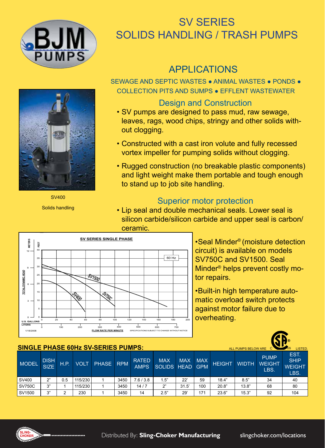

# SV SERIES SOLIDS HANDLING / TRASH PUMPS

# APPLICATIONS

SEWAGE AND SEPTIC WASTES ● ANIMAL WASTES ● PONDS ● COLLECTION PITS AND SUMPS ● EFFLENT WASTEWATER

SV400

Solids handling

## Design and Construction

- SV pumps are designed to pass mud, raw sewage, leaves, rags, wood chips, stringy and other solids without clogging.
- Constructed with a cast iron volute and fully recessed vortex impeller for pumping solids without clogging.
- Rugged construction (no breakable plastic components) and light weight make them portable and tough enough to stand up to job site handling.

## Superior motor protection

• Lip seal and double mechanical seals. Lower seal is silicon carbide/silicon carbide and upper seal is carbon/ ceramic.



•Seal Minder® (moisture detection circuit) is available on models SV750C and SV1500. Seal Minder® helps prevent costly motor repairs.

•Built-in high temperature automatic overload switch protects against motor failure due to overheating.

### **SINGLE PHASE 60Hz SV-SERIES PUMPS:**

|               | SINGLE PHASE BUHZ SV-SERIES PUMPS.<br>ALL PUMPS BELOW ARE C<br>LISTED. |       |         |       |            |                             |                           |            |                          |               |              |                                      |                                              |  |
|---------------|------------------------------------------------------------------------|-------|---------|-------|------------|-----------------------------|---------------------------|------------|--------------------------|---------------|--------------|--------------------------------------|----------------------------------------------|--|
| <b>MODEL</b>  | <b>DISH</b><br><b>SIZE</b>                                             | H.P.' | VOLT    | PHASE | <b>RPM</b> | <b>RATED</b><br><b>AMPS</b> | <b>MAX</b><br>SOLIDS HEAD | <b>MAX</b> | <b>MAX</b><br><b>GPM</b> | <b>HEIGHT</b> | <b>WIDTH</b> | <b>PUMP</b><br><b>WEIGHT</b><br>LBS. | EST.<br><b>SHIP</b><br><b>WEIGHT</b><br>LBS. |  |
| SV400         | ົ                                                                      | 0.5   | 115/230 |       | 3450       | 7.6/3.8                     | 1.5"                      | 22'        | 59                       | 18.4"         | 8.5"         | 34                                   | 40                                           |  |
| <b>SV750C</b> | יי כי                                                                  |       | 115/230 |       | 3450       | 14/7                        | 2"                        | 31.5'      | 100                      | 20.8"         | 13.8"        | 68                                   | 80                                           |  |
| SV1500        | יי כי                                                                  | ົ     | 230     |       | 3450       | 14                          | 2.5"                      | 29'        | 171                      | 23.6"         | 15.3"        | 92                                   | 104                                          |  |

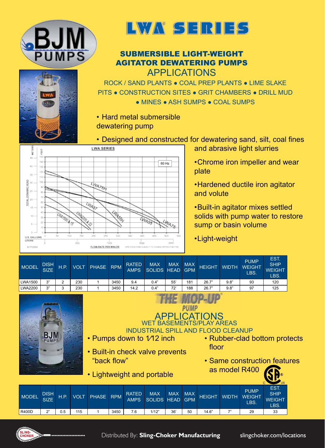





### SUBMERSIBLE LIGHT-WEIGHT AGITATOR DEWATERING PUMPS APPLICATIONS

ROCK / SAND PLANTS ● COAL PREP PLANTS ● LIME SLAKE PITS ● CONSTRUCTION SITES ● GRIT CHAMBERS ● DRILL MUD ● MINES ● ASH SUMPS ● COAL SUMPS

- Hard metal submersible dewatering pump
- Designed and constructed for dewatering sand, silt, coal fines



- and abrasive light slurries
- •Chrome iron impeller and wear plate
- •Hardened ductile iron agitator and volute
- •Built-in agitator mixes settled solids with pump water to restore sump or basin volume
- •Light-weight

| <b>MODEL</b>   | <b>DISH</b><br>SIZE' | H.P. | <b>VOLT</b> | PHASE RPM |      | <b>RATED</b><br>AMPS. | <b>MAX</b><br>SOLIDS HEAD GPM | <b>MAX</b> | <b>MAX</b> | HEIGHT WIDTH WEIGHT |      | <b>PUMP</b><br>LBS. | <b>EST</b><br><b>SHIP</b><br><b>WEIGHT</b><br>LBS. |
|----------------|----------------------|------|-------------|-----------|------|-----------------------|-------------------------------|------------|------------|---------------------|------|---------------------|----------------------------------------------------|
| <b>LWA1500</b> | יי בי                |      | 230         |           | 3450 | 9.4                   | 0.4"                          | 55'        | 181        | 26.7"               | 9.8" | 93                  | 120                                                |
| <b>LWA2200</b> | $\bigcap$            | ົ    | 230         |           | 3450 | 14.2                  | 0.4"                          | 72'        | 188        | 26.7"               | 9.8" | 97                  | 125                                                |



|                            |      |             | • Pumps down to 1/12 inch<br>• Built-in check valve prevents<br>"back flow" |            |                             |                           |            |                          | APPLICATIONS<br>WET BASEMENTS/PLAY AREAS<br><b>INDUSTRIAL SPILL AND FLOOD CLEANUP</b><br>floor | as model R400 |                                      | • Rubber-clad bottom protects<br>• Same construction features |  |
|----------------------------|------|-------------|-----------------------------------------------------------------------------|------------|-----------------------------|---------------------------|------------|--------------------------|------------------------------------------------------------------------------------------------|---------------|--------------------------------------|---------------------------------------------------------------|--|
|                            |      |             | • Lightweight and portable                                                  |            |                             |                           |            |                          |                                                                                                |               |                                      | ับร                                                           |  |
| <b>DISH</b><br><b>SIZE</b> | H.P. | <b>VOLT</b> | <b>PHASE</b>                                                                | <b>RPM</b> | <b>RATED</b><br><b>AMPS</b> | <b>MAX</b><br>SOLIDS HEAD | <b>MAX</b> | <b>MAX</b><br><b>GPM</b> | <b>HEIGHT</b>                                                                                  | <b>WIDTH</b>  | <b>PUMP</b><br><b>WEIGHT</b><br>LBS. | EST.<br><b>SHIP</b><br>WEIGHT<br>$\sqrt{2}$                   |  |

**THE MOD-UP** 



MODEL DISH

R400D | 2" | 0.5 | 115 | 1 | 3450 | 7.6 | 1/12" | 36' | 50 | 14.6" | 7" | 29 | 33

LBS.